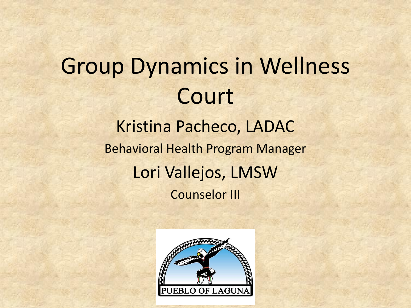# Group Dynamics in Wellness Court

Kristina Pacheco, LADAC Behavioral Health Program Manager Lori Vallejos, LMSW Counselor III

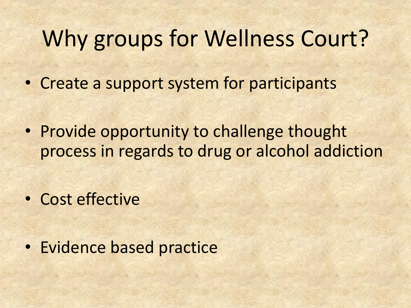### Why groups for Wellness Court?

- Create a support system for participants
- Provide opportunity to challenge thought process in regards to drug or alcohol addiction
- Cost effective
- Evidence based practice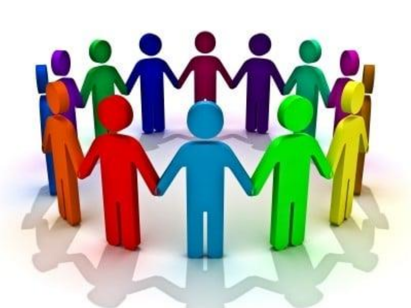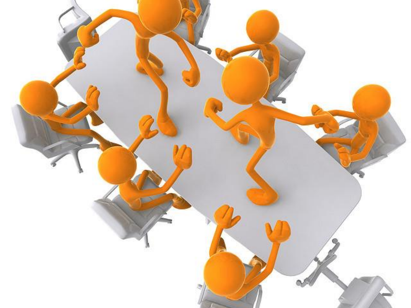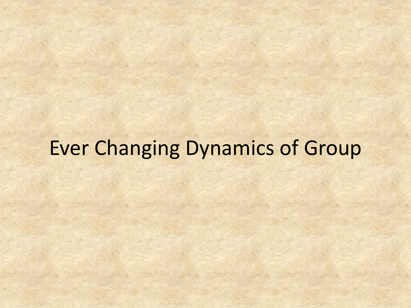### Ever Changing Dynamics of Group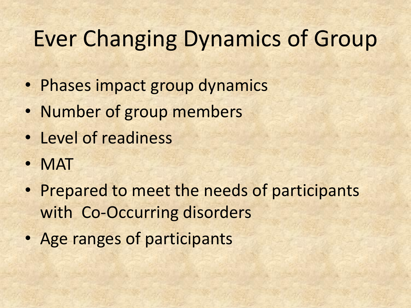### Ever Changing Dynamics of Group

- Phases impact group dynamics
- Number of group members
- Level of readiness
- MAT
- Prepared to meet the needs of participants with Co-Occurring disorders
- Age ranges of participants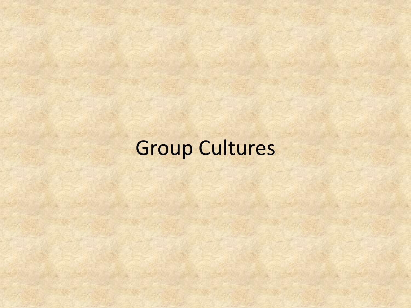## Group Cultures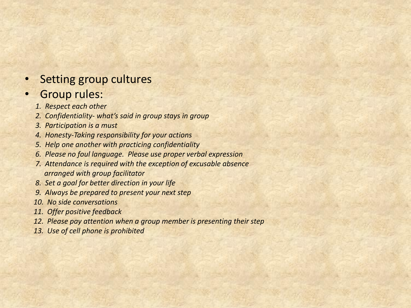#### • Setting group cultures

#### • Group rules:

- *1. Respect each other*
- *2. Confidentiality- what's said in group stays in group*
- *3. Participation is a must*
- *4. Honesty-Taking responsibility for your actions*
- *5. Help one another with practicing confidentiality*
- *6. Please no foul language. Please use proper verbal expression*
- *7. Attendance is required with the exception of excusable absence arranged with group facilitator*
- *8. Set a goal for better direction in your life*
- *9. Always be prepared to present your next step*
- *10. No side conversations*
- *11. Offer positive feedback*
- *12. Please pay attention when a group member is presenting their step*
- *13. Use of cell phone is prohibited*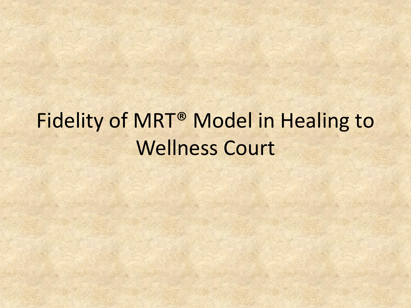### Fidelity of MRT® Model in Healing to Wellness Court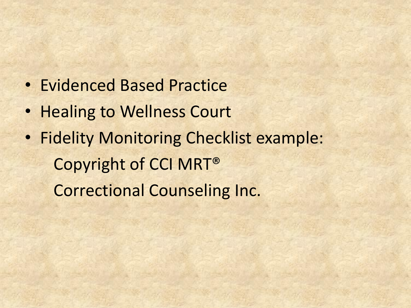- Evidenced Based Practice
- Healing to Wellness Court
- Fidelity Monitoring Checklist example: Copyright of CCI MRT® Correctional Counseling Inc.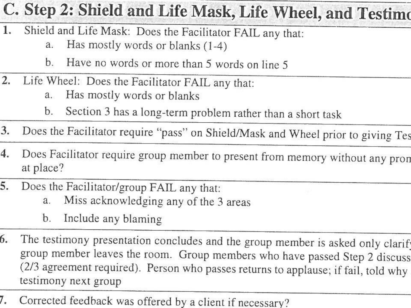### C. Step 2: Shield and Life Mask, Life Wheel, and Testimo

- 1. Shield and Life Mask: Does the Facilitator FAIL any that:
	- Has mostly words or blanks (1-4) a.
	- Have no words or more than 5 words on line 5 b.
- Life Wheel: Does the Facilitator FAIL any that:  $2.$ 
	- Has mostly words or blanks a.
	- Section 3 has a long-term problem rather than a short task  $b.$
- Does the Facilitator require "pass" on Shield/Mask and Wheel prior to giving Tes 3.
- Does Facilitator require group member to present from memory without any pron 4. at place?
- 5. Does the Facilitator/group FAIL any that:
	- Miss acknowledging any of the 3 areas a.
	- Include any blaming b.
- The testimony presentation concludes and the group member is asked only clarify 6. group member leaves the room. Group members who have passed Step 2 discuss (2/3 agreement required). Person who passes returns to applause; if fail, told why testimony next group
- Corrected feedback was offered by a client if necessary? 7.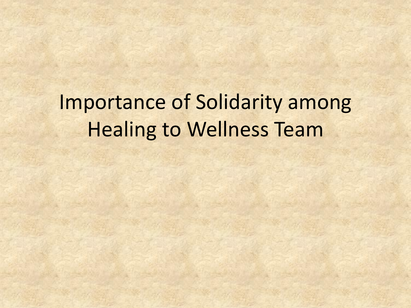### Importance of Solidarity among Healing to Wellness Team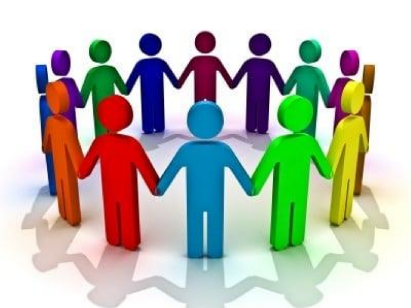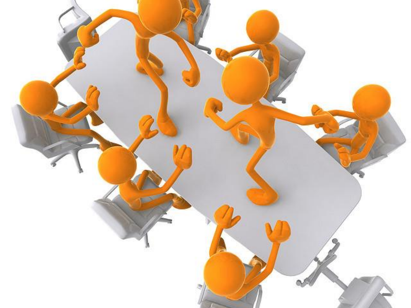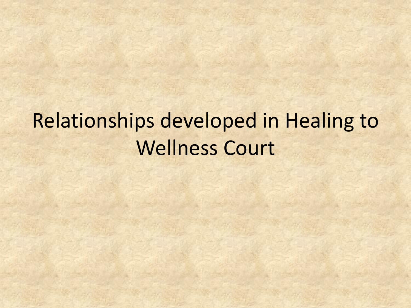### Relationships developed in Healing to Wellness Court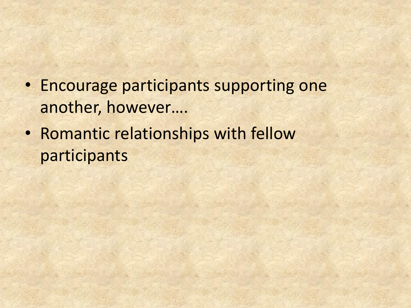- Encourage participants supporting one another, however….
- Romantic relationships with fellow participants